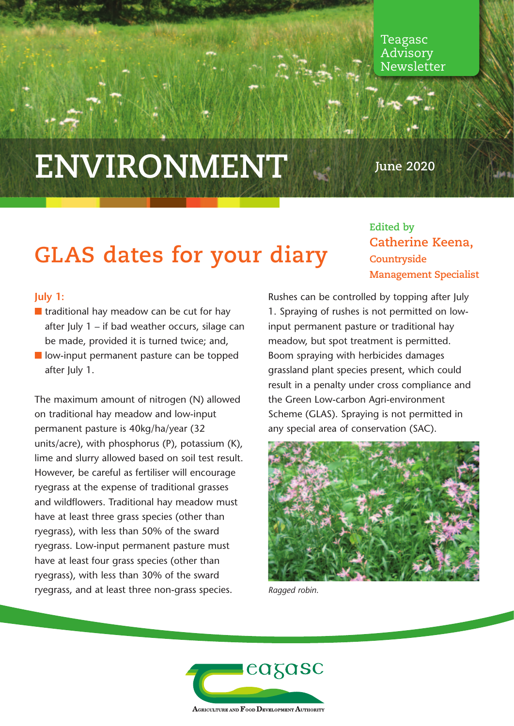Teagasc Advisory Newsletter

# **ENVIRONMENT**

**June 2020**

## **GLAS dates for your diary**

### **Edited by Catherine Keena, Countryside Management Specialist**

#### **July 1:**

- $\blacksquare$  traditional hay meadow can be cut for hay after July 1 – if bad weather occurs, silage can be made, provided it is turned twice; and,
- $\blacksquare$  low-input permanent pasture can be topped after July 1.

The maximum amount of nitrogen (N) allowed on traditional hay meadow and low-input permanent pasture is 40kg/ha/year (32 units/acre), with phosphorus (P), potassium (K), lime and slurry allowed based on soil test result. However, be careful as fertiliser will encourage ryegrass at the expense of traditional grasses and wildflowers. Traditional hay meadow must have at least three grass species (other than ryegrass), with less than 50% of the sward ryegrass. Low-input permanent pasture must have at least four grass species (other than ryegrass), with less than 30% of the sward ryegrass, and at least three non-grass species.

Rushes can be controlled by topping after July 1. Spraying of rushes is not permitted on lowinput permanent pasture or traditional hay meadow, but spot treatment is permitted. Boom spraying with herbicides damages grassland plant species present, which could result in a penalty under cross compliance and the Green Low-carbon Agri-environment Scheme (GLAS). Spraying is not permitted in any special area of conservation (SAC).



*Ragged robin.*

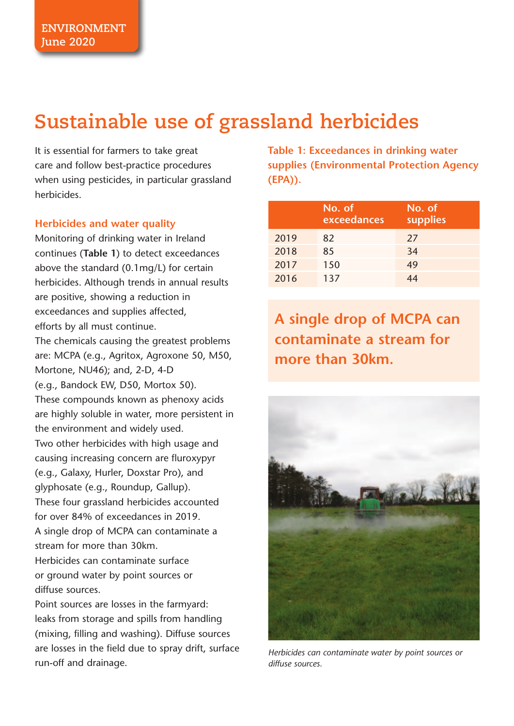### **Sustainable use of grassland herbicides**

It is essential for farmers to take great care and follow best-practice procedures when using pesticides, in particular grassland herbicides.

#### **Herbicides and water quality**

Monitoring of drinking water in Ireland continues (**Table 1**) to detect exceedances above the standard (0.1mg/L) for certain herbicides. Although trends in annual results are positive, showing a reduction in exceedances and supplies affected, efforts by all must continue. The chemicals causing the greatest problems are: MCPA (e.g., Agritox, Agroxone 50, M50, Mortone, NU46); and, 2-D, 4-D (e.g., Bandock EW, D50, Mortox 50). These compounds known as phenoxy acids are highly soluble in water, more persistent in the environment and widely used. Two other herbicides with high usage and causing increasing concern are fluroxypyr (e.g., Galaxy, Hurler, Doxstar Pro), and glyphosate (e.g., Roundup, Gallup). These four grassland herbicides accounted for over 84% of exceedances in 2019. A single drop of MCPA can contaminate a stream for more than 30km. Herbicides can contaminate surface or ground water by point sources or diffuse sources.

Point sources are losses in the farmyard: leaks from storage and spills from handling (mixing, filling and washing). Diffuse sources are losses in the field due to spray drift, surface run-off and drainage.

**Table 1: Exceedances in drinking water supplies (Environmental Protection Agency (EPA)).**

|      | No. of<br>exceedances | No. of<br>supplies |
|------|-----------------------|--------------------|
| 2019 | 82                    | 27                 |
| 2018 | 85                    | 34                 |
| 2017 | 150                   | 49                 |
| 2016 | 137                   | 44                 |

**A single drop of MCPA can contaminate a stream for more than 30km.**



*Herbicides can contaminate water by point sources or diffuse sources.*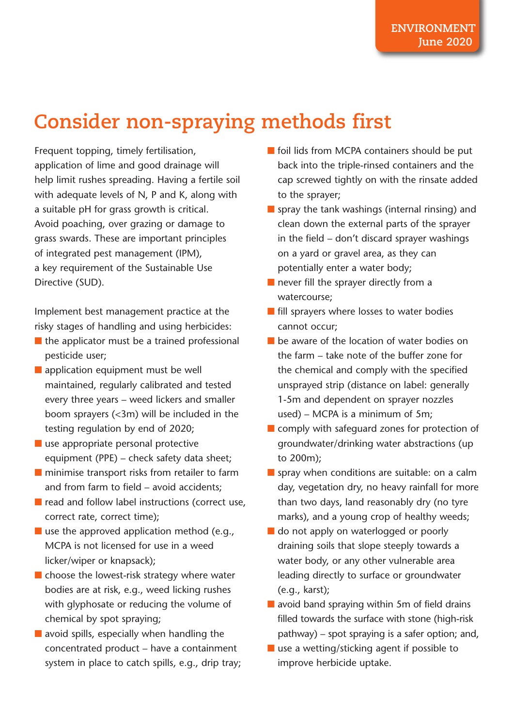### **Consider non-spraying methods first**

Frequent topping, timely fertilisation, application of lime and good drainage will help limit rushes spreading. Having a fertile soil with adequate levels of N, P and K, along with a suitable pH for grass growth is critical. Avoid poaching, over grazing or damage to grass swards. These are important principles of integrated pest management (IPM), a key requirement of the Sustainable Use Directive (SUD).

Implement best management practice at the risky stages of handling and using herbicides:

- $\blacksquare$  the applicator must be a trained professional pesticide user;
- $\blacksquare$  application equipment must be well maintained, regularly calibrated and tested every three years – weed lickers and smaller boom sprayers (<3m) will be included in the testing regulation by end of 2020;
- $\blacksquare$  use appropriate personal protective equipment (PPE) – check safety data sheet;
- $\blacksquare$  minimise transport risks from retailer to farm and from farm to field – avoid accidents;
- $\blacksquare$  read and follow label instructions (correct use, correct rate, correct time);
- $\blacksquare$  use the approved application method (e.g., MCPA is not licensed for use in a weed licker/wiper or knapsack);
- $\blacksquare$  choose the lowest-risk strategy where water bodies are at risk, e.g., weed licking rushes with glyphosate or reducing the volume of chemical by spot spraying;
- $\blacksquare$  avoid spills, especially when handling the concentrated product – have a containment system in place to catch spills, e.g., drip tray;
- $\blacksquare$  foil lids from MCPA containers should be put back into the triple-rinsed containers and the cap screwed tightly on with the rinsate added to the sprayer;
- **n** spray the tank washings (internal rinsing) and clean down the external parts of the sprayer in the field – don't discard sprayer washings on a yard or gravel area, as they can potentially enter a water body;
- $\blacksquare$  never fill the sprayer directly from a watercourse;
- $\blacksquare$  fill sprayers where losses to water bodies cannot occur;
- $\blacksquare$  be aware of the location of water bodies on the farm – take note of the buffer zone for the chemical and comply with the specified unsprayed strip (distance on label: generally 1-5m and dependent on sprayer nozzles used) – MCPA is a minimum of 5m;
- $\blacksquare$  comply with safeguard zones for protection of groundwater/drinking water abstractions (up to 200m);
- **n** spray when conditions are suitable: on a calm day, vegetation dry, no heavy rainfall for more than two days, land reasonably dry (no tyre marks), and a young crop of healthy weeds;
- **n** do not apply on waterlogged or poorly draining soils that slope steeply towards a water body, or any other vulnerable area leading directly to surface or groundwater (e.g., karst);
- $\blacksquare$  avoid band spraying within 5m of field drains filled towards the surface with stone (high-risk pathway) – spot spraying is a safer option; and,
- $\blacksquare$  use a wetting/sticking agent if possible to improve herbicide uptake.